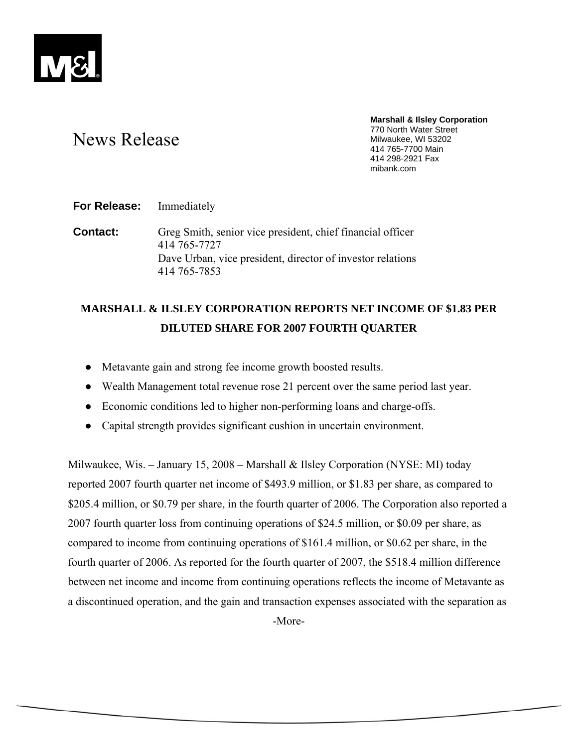

# News Release

**Marshall & Ilsley Corporation**  770 North Water Street Milwaukee, WI 53202 414 765-7700 Main 414 298-2921 Fax mibank.com

**For Release:** Immediately

**Contact:** Greg Smith, senior vice president, chief financial officer 414 765-7727 Dave Urban, vice president, director of investor relations 414 765-7853

## **MARSHALL & ILSLEY CORPORATION REPORTS NET INCOME OF \$1.83 PER DILUTED SHARE FOR 2007 FOURTH QUARTER**

- Metavante gain and strong fee income growth boosted results.
- Wealth Management total revenue rose 21 percent over the same period last year.
- Economic conditions led to higher non-performing loans and charge-offs.
- Capital strength provides significant cushion in uncertain environment.

Milwaukee, Wis. – January 15, 2008 – Marshall & Ilsley Corporation (NYSE: MI) today reported 2007 fourth quarter net income of \$493.9 million, or \$1.83 per share, as compared to \$205.4 million, or \$0.79 per share, in the fourth quarter of 2006. The Corporation also reported a 2007 fourth quarter loss from continuing operations of \$24.5 million, or \$0.09 per share, as compared to income from continuing operations of \$161.4 million, or \$0.62 per share, in the fourth quarter of 2006. As reported for the fourth quarter of 2007, the \$518.4 million difference between net income and income from continuing operations reflects the income of Metavante as a discontinued operation, and the gain and transaction expenses associated with the separation as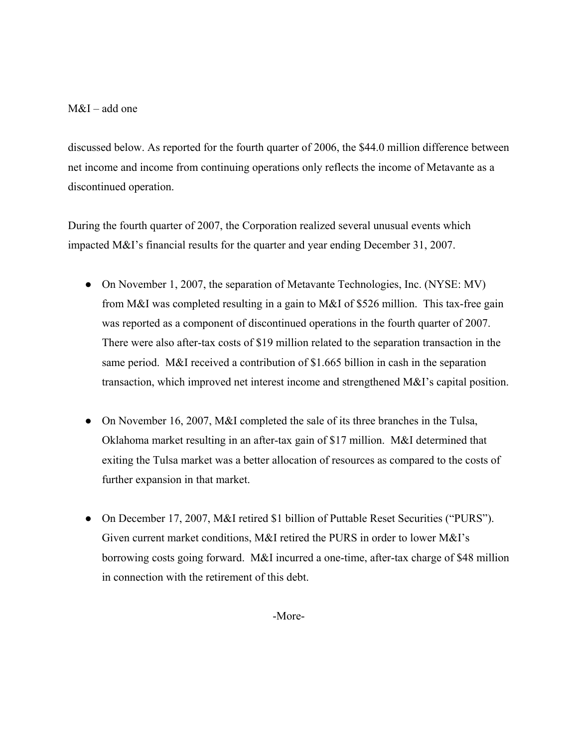## M&I – add one

discussed below. As reported for the fourth quarter of 2006, the \$44.0 million difference between net income and income from continuing operations only reflects the income of Metavante as a discontinued operation.

During the fourth quarter of 2007, the Corporation realized several unusual events which impacted M&I's financial results for the quarter and year ending December 31, 2007.

- On November 1, 2007, the separation of Metavante Technologies, Inc. (NYSE: MV) from M&I was completed resulting in a gain to M&I of \$526 million. This tax-free gain was reported as a component of discontinued operations in the fourth quarter of 2007. There were also after-tax costs of \$19 million related to the separation transaction in the same period. M&I received a contribution of \$1.665 billion in cash in the separation transaction, which improved net interest income and strengthened M&I's capital position.
- On November 16, 2007, M&I completed the sale of its three branches in the Tulsa, Oklahoma market resulting in an after-tax gain of \$17 million. M&I determined that exiting the Tulsa market was a better allocation of resources as compared to the costs of further expansion in that market.
- On December 17, 2007, M&I retired \$1 billion of Puttable Reset Securities ("PURS"). Given current market conditions, M&I retired the PURS in order to lower M&I's borrowing costs going forward. M&I incurred a one-time, after-tax charge of \$48 million in connection with the retirement of this debt.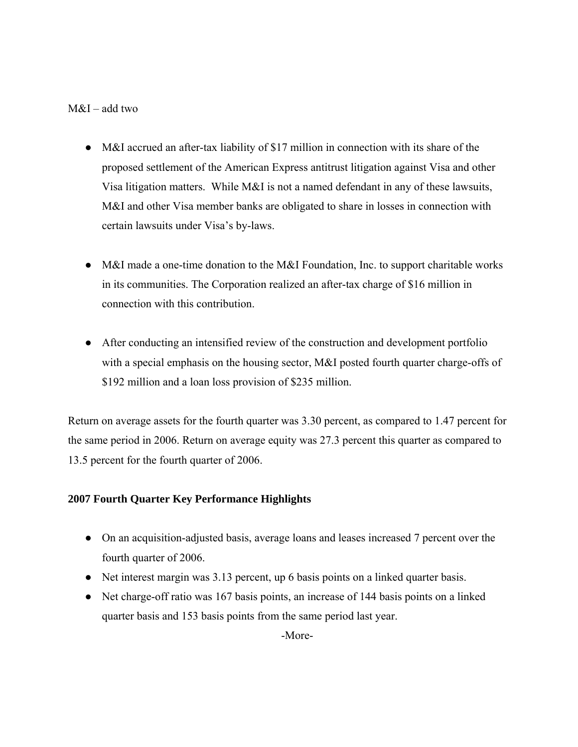## M&I – add two

- M&I accrued an after-tax liability of \$17 million in connection with its share of the proposed settlement of the American Express antitrust litigation against Visa and other Visa litigation matters. While M&I is not a named defendant in any of these lawsuits, M&I and other Visa member banks are obligated to share in losses in connection with certain lawsuits under Visa's by-laws.
- M&I made a one-time donation to the M&I Foundation, Inc. to support charitable works in its communities. The Corporation realized an after-tax charge of \$16 million in connection with this contribution.
- After conducting an intensified review of the construction and development portfolio with a special emphasis on the housing sector, M&I posted fourth quarter charge-offs of \$192 million and a loan loss provision of \$235 million.

Return on average assets for the fourth quarter was 3.30 percent, as compared to 1.47 percent for the same period in 2006. Return on average equity was 27.3 percent this quarter as compared to 13.5 percent for the fourth quarter of 2006.

## **2007 Fourth Quarter Key Performance Highlights**

- On an acquisition-adjusted basis, average loans and leases increased 7 percent over the fourth quarter of 2006.
- Net interest margin was 3.13 percent, up 6 basis points on a linked quarter basis.
- Net charge-off ratio was 167 basis points, an increase of 144 basis points on a linked quarter basis and 153 basis points from the same period last year.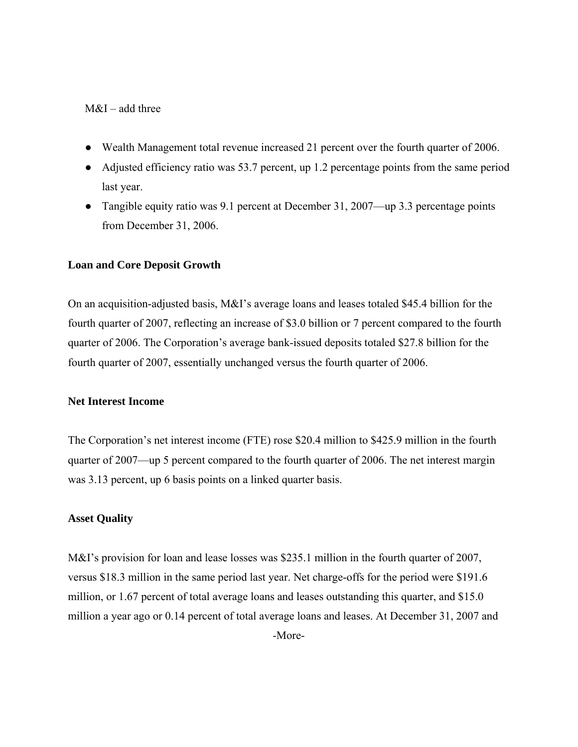## M&I – add three

- Wealth Management total revenue increased 21 percent over the fourth quarter of 2006.
- Adjusted efficiency ratio was 53.7 percent, up 1.2 percentage points from the same period last year.
- Tangible equity ratio was 9.1 percent at December 31, 2007—up 3.3 percentage points from December 31, 2006.

## **Loan and Core Deposit Growth**

On an acquisition-adjusted basis, M&I's average loans and leases totaled \$45.4 billion for the fourth quarter of 2007, reflecting an increase of \$3.0 billion or 7 percent compared to the fourth quarter of 2006. The Corporation's average bank-issued deposits totaled \$27.8 billion for the fourth quarter of 2007, essentially unchanged versus the fourth quarter of 2006.

## **Net Interest Income**

The Corporation's net interest income (FTE) rose \$20.4 million to \$425.9 million in the fourth quarter of 2007—up 5 percent compared to the fourth quarter of 2006. The net interest margin was 3.13 percent, up 6 basis points on a linked quarter basis.

## **Asset Quality**

M&I's provision for loan and lease losses was \$235.1 million in the fourth quarter of 2007, versus \$18.3 million in the same period last year. Net charge-offs for the period were \$191.6 million, or 1.67 percent of total average loans and leases outstanding this quarter, and \$15.0 million a year ago or 0.14 percent of total average loans and leases. At December 31, 2007 and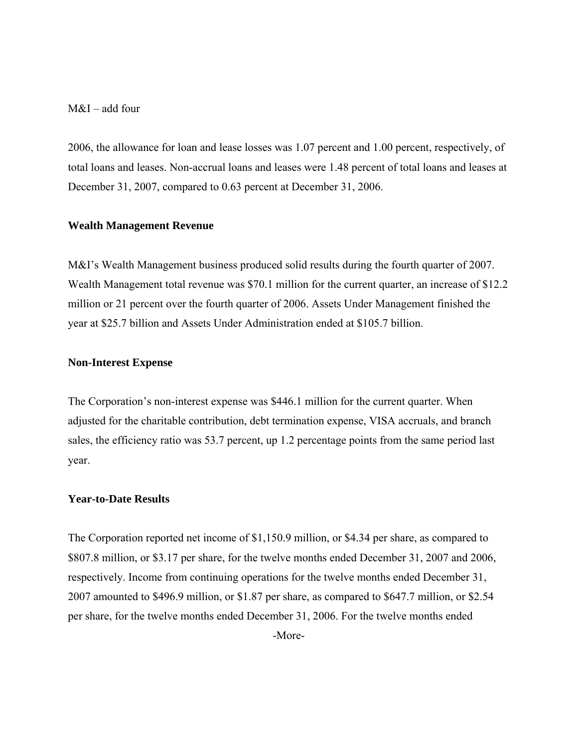M&I – add four

2006, the allowance for loan and lease losses was 1.07 percent and 1.00 percent, respectively, of total loans and leases. Non-accrual loans and leases were 1.48 percent of total loans and leases at December 31, 2007, compared to 0.63 percent at December 31, 2006.

#### **Wealth Management Revenue**

M&I's Wealth Management business produced solid results during the fourth quarter of 2007. Wealth Management total revenue was \$70.1 million for the current quarter, an increase of \$12.2 million or 21 percent over the fourth quarter of 2006. Assets Under Management finished the year at \$25.7 billion and Assets Under Administration ended at \$105.7 billion.

#### **Non-Interest Expense**

The Corporation's non-interest expense was \$446.1 million for the current quarter. When adjusted for the charitable contribution, debt termination expense, VISA accruals, and branch sales, the efficiency ratio was 53.7 percent, up 1.2 percentage points from the same period last year.

## **Year-to-Date Results**

The Corporation reported net income of \$1,150.9 million, or \$4.34 per share, as compared to \$807.8 million, or \$3.17 per share, for the twelve months ended December 31, 2007 and 2006, respectively. Income from continuing operations for the twelve months ended December 31, 2007 amounted to \$496.9 million, or \$1.87 per share, as compared to \$647.7 million, or \$2.54 per share, for the twelve months ended December 31, 2006. For the twelve months ended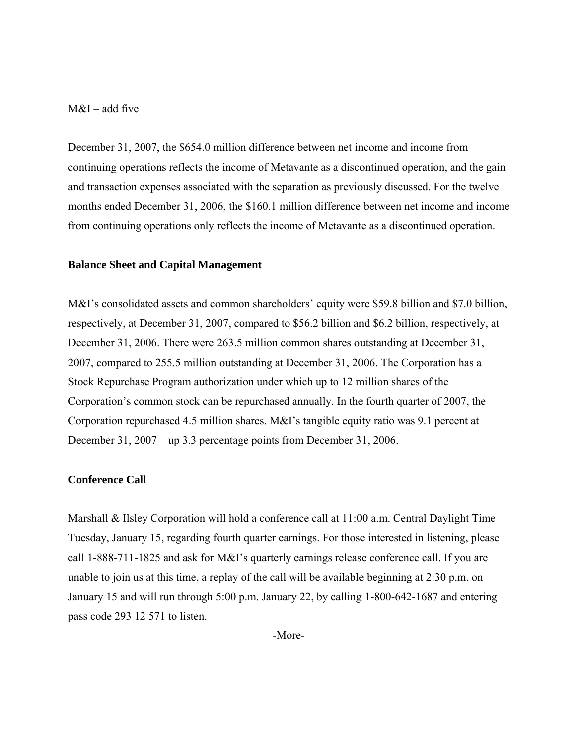## $M&I$  – add five

December 31, 2007, the \$654.0 million difference between net income and income from continuing operations reflects the income of Metavante as a discontinued operation, and the gain and transaction expenses associated with the separation as previously discussed. For the twelve months ended December 31, 2006, the \$160.1 million difference between net income and income from continuing operations only reflects the income of Metavante as a discontinued operation.

#### **Balance Sheet and Capital Management**

M&I's consolidated assets and common shareholders' equity were \$59.8 billion and \$7.0 billion, respectively, at December 31, 2007, compared to \$56.2 billion and \$6.2 billion, respectively, at December 31, 2006. There were 263.5 million common shares outstanding at December 31, 2007, compared to 255.5 million outstanding at December 31, 2006. The Corporation has a Stock Repurchase Program authorization under which up to 12 million shares of the Corporation's common stock can be repurchased annually. In the fourth quarter of 2007, the Corporation repurchased 4.5 million shares. M&I's tangible equity ratio was 9.1 percent at December 31, 2007—up 3.3 percentage points from December 31, 2006.

#### **Conference Call**

Marshall & Ilsley Corporation will hold a conference call at 11:00 a.m. Central Daylight Time Tuesday, January 15, regarding fourth quarter earnings. For those interested in listening, please call 1-888-711-1825 and ask for M&I's quarterly earnings release conference call. If you are unable to join us at this time, a replay of the call will be available beginning at 2:30 p.m. on January 15 and will run through 5:00 p.m. January 22, by calling 1-800-642-1687 and entering pass code 293 12 571 to listen.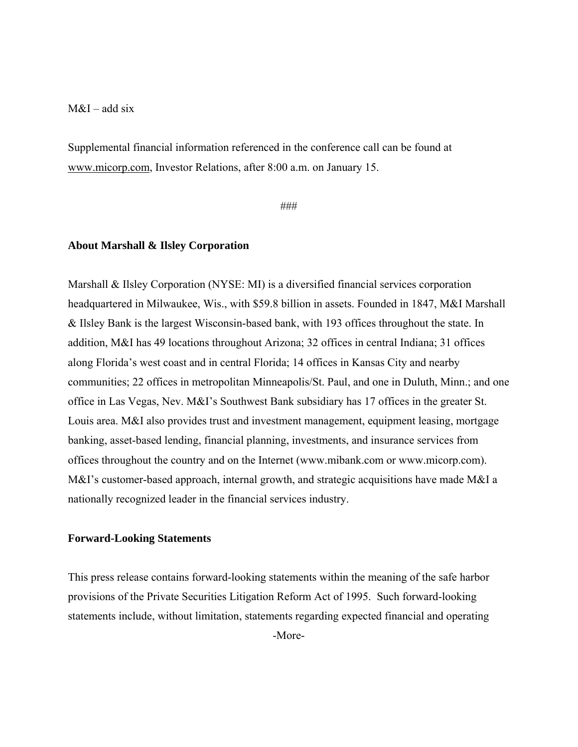## $M&I$  – add six

Supplemental financial information referenced in the conference call can be found at www.micorp.com, Investor Relations, after 8:00 a.m. on January 15.

###

## **About Marshall & Ilsley Corporation**

Marshall & Ilsley Corporation (NYSE: MI) is a diversified financial services corporation headquartered in Milwaukee, Wis., with \$59.8 billion in assets. Founded in 1847, M&I Marshall & Ilsley Bank is the largest Wisconsin-based bank, with 193 offices throughout the state. In addition, M&I has 49 locations throughout Arizona; 32 offices in central Indiana; 31 offices along Florida's west coast and in central Florida; 14 offices in Kansas City and nearby communities; 22 offices in metropolitan Minneapolis/St. Paul, and one in Duluth, Minn.; and one office in Las Vegas, Nev. M&I's Southwest Bank subsidiary has 17 offices in the greater St. Louis area. M&I also provides trust and investment management, equipment leasing, mortgage banking, asset-based lending, financial planning, investments, and insurance services from offices throughout the country and on the Internet (www.mibank.com or www.micorp.com). M&I's customer-based approach, internal growth, and strategic acquisitions have made M&I a nationally recognized leader in the financial services industry.

#### **Forward-Looking Statements**

This press release contains forward-looking statements within the meaning of the safe harbor provisions of the Private Securities Litigation Reform Act of 1995. Such forward-looking statements include, without limitation, statements regarding expected financial and operating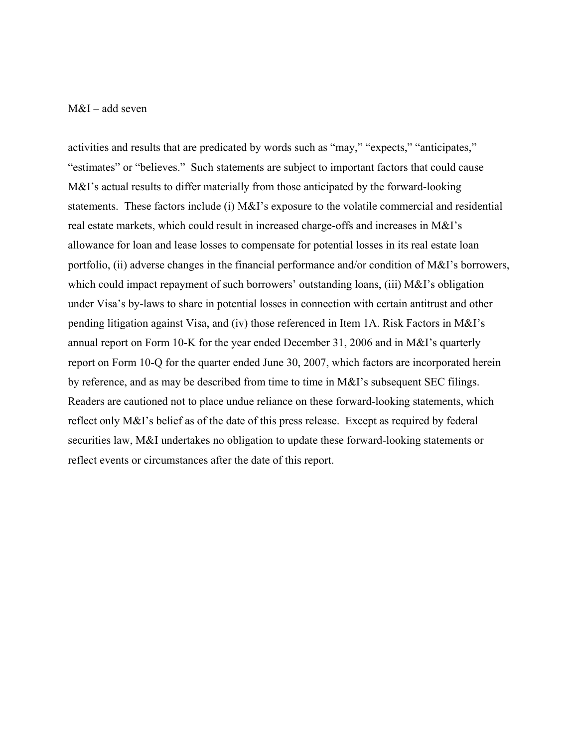## M&I – add seven

activities and results that are predicated by words such as "may," "expects," "anticipates," "estimates" or "believes." Such statements are subject to important factors that could cause M&I's actual results to differ materially from those anticipated by the forward-looking statements. These factors include (i) M&I's exposure to the volatile commercial and residential real estate markets, which could result in increased charge-offs and increases in M&I's allowance for loan and lease losses to compensate for potential losses in its real estate loan portfolio, (ii) adverse changes in the financial performance and/or condition of M&I's borrowers, which could impact repayment of such borrowers' outstanding loans, (iii) M&I's obligation under Visa's by-laws to share in potential losses in connection with certain antitrust and other pending litigation against Visa, and (iv) those referenced in Item 1A. Risk Factors in M&I's annual report on Form 10-K for the year ended December 31, 2006 and in M&I's quarterly report on Form 10-Q for the quarter ended June 30, 2007, which factors are incorporated herein by reference, and as may be described from time to time in M&I's subsequent SEC filings. Readers are cautioned not to place undue reliance on these forward-looking statements, which reflect only M&I's belief as of the date of this press release. Except as required by federal securities law, M&I undertakes no obligation to update these forward-looking statements or reflect events or circumstances after the date of this report.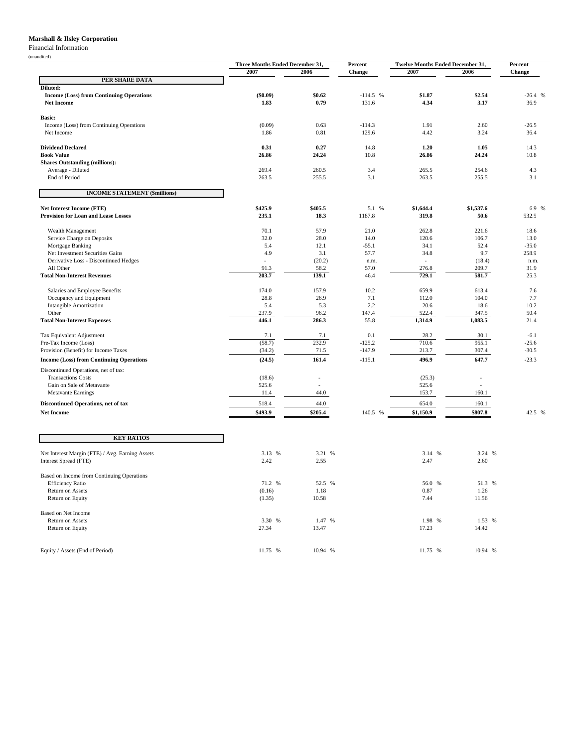#### **Marshall & Ilsley Corporation**

#### Financial Information

| (unaudited)                                                              |                                         |               |              | <b>Twelve Months Ended December 31,</b> |                          |              |
|--------------------------------------------------------------------------|-----------------------------------------|---------------|--------------|-----------------------------------------|--------------------------|--------------|
|                                                                          | Three Months Ended December 31,<br>2007 | 2006          | Percent      | 2007                                    | 2006                     | Percent      |
| PER SHARE DATA                                                           |                                         |               | Change       |                                         |                          | Change       |
| Diluted:                                                                 |                                         |               |              |                                         |                          |              |
| <b>Income (Loss) from Continuing Operations</b>                          | (\$0.09)                                | \$0.62        | $-114.5$ %   | \$1.87                                  | \$2.54                   | $-26.4%$     |
| <b>Net Income</b>                                                        | 1.83                                    | 0.79          | 131.6        | 4.34                                    | 3.17                     | 36.9         |
| <b>Basic:</b>                                                            |                                         |               |              |                                         |                          |              |
| Income (Loss) from Continuing Operations                                 | (0.09)                                  | 0.63          | $-114.3$     | 1.91                                    | 2.60                     | $-26.5$      |
| Net Income                                                               | 1.86                                    | 0.81          | 129.6        | 4.42                                    | 3.24                     | 36.4         |
|                                                                          |                                         |               |              |                                         |                          |              |
| <b>Dividend Declared</b><br><b>Book Value</b>                            | 0.31<br>26.86                           | 0.27<br>24.24 | 14.8<br>10.8 | 1.20<br>26.86                           | 1.05<br>24.24            | 14.3<br>10.8 |
| <b>Shares Outstanding (millions):</b>                                    |                                         |               |              |                                         |                          |              |
| Average - Diluted                                                        | 269.4                                   | 260.5         | 3.4          | 265.5                                   | 254.6                    | 4.3          |
| End of Period                                                            | 263.5                                   | 255.5         | 3.1          | 263.5                                   | 255.5                    | 3.1          |
| <b>INCOME STATEMENT (\$millions)</b>                                     |                                         |               |              |                                         |                          |              |
| Net Interest Income (FTE)                                                | \$425.9                                 | \$405.5       | 5.1 %        | \$1,644.4                               | \$1,537.6                | 6.9 %        |
| <b>Provision for Loan and Lease Losses</b>                               | 235.1                                   | 18.3          | 1187.8       | 319.8                                   | 50.6                     | 532.5        |
|                                                                          |                                         |               |              |                                         |                          |              |
| Wealth Management                                                        | 70.1                                    | 57.9          | 21.0         | 262.8                                   | 221.6                    | 18.6         |
| Service Charge on Deposits                                               | 32.0                                    | 28.0          | 14.0         | 120.6                                   | 106.7                    | 13.0         |
| Mortgage Banking                                                         | 5.4                                     | 12.1          | $-55.1$      | 34.1                                    | 52.4                     | $-35.0$      |
| Net Investment Securities Gains<br>Derivative Loss - Discontinued Hedges | 4.9                                     | 3.1<br>(20.2) | 57.7         | 34.8                                    | 9.7<br>(18.4)            | 258.9        |
| All Other                                                                | 91.3                                    | 58.2          | n.m.<br>57.0 | 276.8                                   | 209.7                    | n.m.<br>31.9 |
| <b>Total Non-Interest Revenues</b>                                       | 203.7                                   | 139.1         | 46.4         | 729.1                                   | 581.7                    | 25.3         |
|                                                                          |                                         |               |              |                                         |                          |              |
| Salaries and Employee Benefits<br>Occupancy and Equipment                | 174.0<br>28.8                           | 157.9<br>26.9 | 10.2<br>7.1  | 659.9<br>112.0                          | 613.4<br>104.0           | 7.6<br>7.7   |
| <b>Intangible Amortization</b>                                           | 5.4                                     | 5.3           | 2.2          | 20.6                                    | 18.6                     | 10.2         |
| Other                                                                    | 237.9                                   | 96.2          | 147.4        | 522.4                                   | 347.5                    | 50.4         |
| <b>Total Non-Interest Expenses</b>                                       | 446.1                                   | 286.3         | 55.8         | 1,314.9                                 | 1,083.5                  | 21.4         |
| Tax Equivalent Adjustment                                                | 7.1                                     | 7.1           | 0.1          | 28.2                                    | 30.1                     | $-6.1$       |
| Pre-Tax Income (Loss)                                                    | (58.7)                                  | 232.9         | $-125.2$     | 710.6                                   | 955.1                    | $-25.6$      |
| Provision (Benefit) for Income Taxes                                     | (34.2)                                  | 71.5          | $-147.9$     | 213.7                                   | 307.4                    | $-30.5$      |
| <b>Income (Loss) from Continuing Operations</b>                          | (24.5)                                  | 161.4         | $-115.1$     | 496.9                                   | 647.7                    | $-23.3$      |
| Discontinued Operations, net of tax:                                     |                                         |               |              |                                         |                          |              |
| <b>Transactions Costs</b>                                                | (18.6)                                  | ÷,            |              | (25.3)                                  | $\overline{\phantom{a}}$ |              |
| Gain on Sale of Metavante                                                | 525.6                                   |               |              | 525.6                                   |                          |              |
| <b>Metavante Earnings</b>                                                | 11.4                                    | 44.0          |              | 153.7                                   | 160.1                    |              |
| Discontinued Operations, net of tax                                      | 518.4                                   | 44.0          |              | 654.0                                   | 160.1                    |              |
| <b>Net Income</b>                                                        | \$493.9                                 | \$205.4       | 140.5 %      | \$1,150.9                               | \$807.8                  | 42.5 %       |
| <b>KEY RATIOS</b>                                                        |                                         |               |              |                                         |                          |              |
| Net Interest Margin (FTE) / Avg. Earning Assets                          | 3.13 %                                  | 3.21 %        |              | 3.14 %                                  | 3.24 %                   |              |
| Interest Spread (FTE)                                                    | 2.42                                    | 2.55          |              | 2.47                                    | 2.60                     |              |
| Based on Income from Continuing Operations                               |                                         |               |              |                                         |                          |              |
| <b>Efficiency Ratio</b>                                                  | 71.2 %                                  | 52.5 %        |              | 56.0 %                                  | 51.3 %                   |              |
| Return on Assets                                                         | (0.16)                                  | 1.18          |              | 0.87                                    | 1.26                     |              |
|                                                                          |                                         | 10.58         |              | 7.44                                    | 11.56                    |              |
| Return on Equity                                                         | (1.35)                                  |               |              |                                         |                          |              |
|                                                                          |                                         |               |              |                                         |                          |              |
| Based on Net Income<br><b>Return on Assets</b>                           | 3.30 %                                  | 1.47 %        |              | 1.98 %                                  | 1.53 %                   |              |

Equity / Assets (End of Period) 11.75 % 10.94 % 11.75 % 10.94 % 11.75 % 10.94 %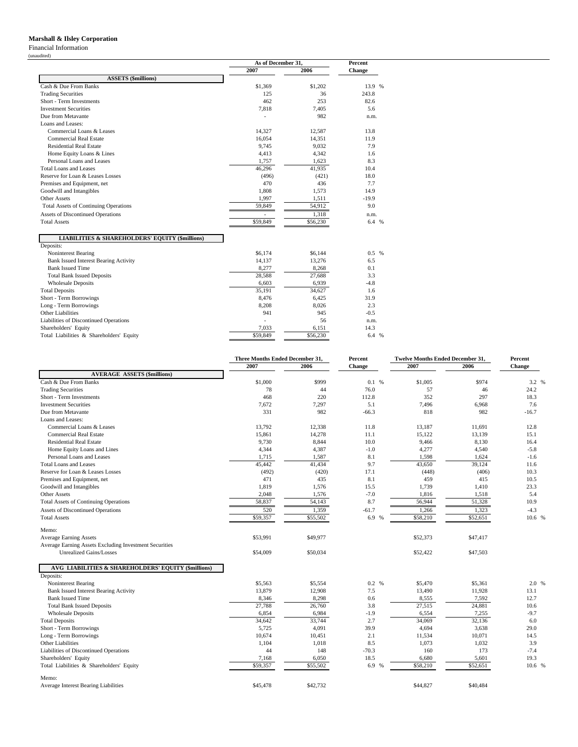#### **Marshall & Ilsley Corporation**

Financial Information

(unaudited)

|                                              |          | As of December 31, |         |  |
|----------------------------------------------|----------|--------------------|---------|--|
|                                              | 2007     | 2006               | Change  |  |
| <b>ASSETS (\$millions)</b>                   |          |                    |         |  |
| Cash & Due From Banks                        | \$1,369  | \$1,202            | 13.9 %  |  |
| <b>Trading Securities</b>                    | 125      | 36                 | 243.8   |  |
| Short - Term Investments                     | 462      | 253                | 82.6    |  |
| <b>Investment Securities</b>                 | 7,818    | 7,405              | 5.6     |  |
| Due from Metavante                           |          | 982                | n.m.    |  |
| Loans and Leases:                            |          |                    |         |  |
| Commercial Loans & Leases                    | 14,327   | 12,587             | 13.8    |  |
| <b>Commercial Real Estate</b>                | 16,054   | 14,351             | 11.9    |  |
| <b>Residential Real Estate</b>               | 9,745    | 9,032              | 7.9     |  |
| Home Equity Loans & Lines                    | 4,413    | 4,342              | 1.6     |  |
| Personal Loans and Leases                    | 1,757    | 1,623              | 8.3     |  |
| <b>Total Loans and Leases</b>                | 46,296   | 41,935             | 10.4    |  |
| Reserve for Loan & Leases Losses             | (496)    | (421)              | 18.0    |  |
| Premises and Equipment, net                  | 470      | 436                | 7.7     |  |
| Goodwill and Intangibles                     | 1,808    | 1,573              | 14.9    |  |
| Other Assets                                 | 1.997    | 1,511              | $-19.9$ |  |
| <b>Total Assets of Continuing Operations</b> | 59,849   | 54,912             | 9.0     |  |
| Assets of Discontinued Operations            |          | 1,318              | n.m.    |  |
| <b>Total Assets</b>                          | \$59,849 | \$56,230           | 6.4 %   |  |

#### **LIABILITIES & SHAREHOLDERS' EQUITY (\$millions)**

| Deposits:                                    |          |          |         |
|----------------------------------------------|----------|----------|---------|
| Noninterest Bearing                          | \$6.174  | \$6.144  | $0.5\%$ |
| <b>Bank Issued Interest Bearing Activity</b> | 14.137   | 13.276   | 6.5     |
| <b>Bank Issued Time</b>                      | 8,277    | 8,268    | 0.1     |
| <b>Total Bank Issued Deposits</b>            | 28,588   | 27,688   | 3.3     |
| <b>Wholesale Deposits</b>                    | 6,603    | 6,939    | $-4.8$  |
| <b>Total Deposits</b>                        | 35.191   | 34.627   | 1.6     |
| Short - Term Borrowings                      | 8.476    | 6.425    | 31.9    |
| Long - Term Borrowings                       | 8.208    | 8,026    | 2.3     |
| <b>Other Liabilities</b>                     | 941      | 945      | $-0.5$  |
| Liabilities of Discontinued Operations       |          | 56       | n.m.    |
| Shareholders' Equity                         | 7,033    | 6,151    | 14.3    |
| Total Liabilities & Shareholders' Equity     | \$59,849 | \$56,230 | 6.4 %   |

|                                                        | Three Months Ended December 31, |          | Percent | <b>Twelve Months Ended December 31,</b> |          | Percent |
|--------------------------------------------------------|---------------------------------|----------|---------|-----------------------------------------|----------|---------|
|                                                        | 2007                            | 2006     | Change  | 2007                                    | 2006     | Change  |
| <b>AVERAGE ASSETS (\$millions)</b>                     |                                 |          |         |                                         |          |         |
| Cash & Due From Banks                                  | \$1,000                         | \$999    | 0.1%    | \$1,005                                 | \$974    | 3.2 %   |
| <b>Trading Securities</b>                              | 78                              | 44       | 76.0    | 57                                      | 46       | 24.2    |
| Short - Term Investments                               | 468                             | 220      | 112.8   | 352                                     | 297      | 18.3    |
| <b>Investment Securities</b>                           | 7,672                           | 7,297    | 5.1     | 7,496                                   | 6,968    | 7.6     |
| Due from Metavante                                     | 331                             | 982      | $-66.3$ | 818                                     | 982      | $-16.7$ |
| Loans and Leases:                                      |                                 |          |         |                                         |          |         |
| Commercial Loans & Leases                              | 13,792                          | 12,338   | 11.8    | 13,187                                  | 11,691   | 12.8    |
| <b>Commercial Real Estate</b>                          | 15.861                          | 14,278   | 11.1    | 15.122                                  | 13,139   | 15.1    |
| <b>Residential Real Estate</b>                         | 9,730                           | 8,844    | 10.0    | 9,466                                   | 8,130    | 16.4    |
| Home Equity Loans and Lines                            | 4,344                           | 4,387    | $-1.0$  | 4,277                                   | 4,540    | $-5.8$  |
| Personal Loans and Leases                              | 1,715                           | 1,587    | 8.1     | 1,598                                   | 1,624    | $-1.6$  |
| <b>Total Loans and Leases</b>                          | 45,442                          | 41,434   | 9.7     | 43,650                                  | 39,124   | 11.6    |
| Reserve for Loan & Leases Losses                       | (492)                           | (420)    | 17.1    | (448)                                   | (406)    | 10.3    |
| Premises and Equipment, net                            | 471                             | 435      | 8.1     | 459                                     | 415      | 10.5    |
| Goodwill and Intangibles                               | 1,819                           | 1.576    | 15.5    | 1,739                                   | 1,410    | 23.3    |
| <b>Other Assets</b>                                    | 2,048                           | 1,576    | $-7.0$  | 1,816                                   | 1,518    | 5.4     |
| <b>Total Assets of Continuing Operations</b>           | 58,837                          | 54,143   | 8.7     | 56,944                                  | 51,328   | 10.9    |
| <b>Assets of Discontinued Operations</b>               | 520                             | 1,359    | $-61.7$ | 1,266                                   | 1,323    | $-4.3$  |
| <b>Total Assets</b>                                    | \$59,357                        | \$55,502 | 6.9 %   | \$58,210                                | \$52,651 | 10.6 %  |
| Memo:                                                  |                                 |          |         |                                         |          |         |
| <b>Average Earning Assets</b>                          | \$53,991                        | \$49,977 |         | \$52,373                                | \$47,417 |         |
| Average Earning Assets Excluding Investment Securities |                                 |          |         |                                         |          |         |
| Unrealized Gains/Losses                                | \$54,009                        | \$50,034 |         | \$52,422                                | \$47,503 |         |
| AVG LIABILITIES & SHAREHOLDERS' EQUITY (\$millions)    |                                 |          |         |                                         |          |         |
| Deposits:                                              |                                 |          |         |                                         |          |         |
| Noninterest Bearing                                    | \$5,563                         | \$5,554  | 0.2 %   | \$5,470                                 | \$5,361  | 2.0 %   |
| <b>Bank Issued Interest Bearing Activity</b>           | 13,879                          | 12,908   | 7.5     | 13,490                                  | 11,928   | 13.1    |
| <b>Bank Issued Time</b>                                | 8,346                           | 8,298    | 0.6     | 8,555                                   | 7,592    | 12.7    |
| <b>Total Bank Issued Deposits</b>                      | 27,788                          | 26,760   | 3.8     | 27,515                                  | 24,881   | 10.6    |
| <b>Wholesale Deposits</b>                              | 6,854                           | 6,984    | $-1.9$  | 6,554                                   | 7,255    | $-9.7$  |
| <b>Total Deposits</b>                                  | 34,642                          | 33,744   | 2.7     | 34,069                                  | 32,136   | 6.0     |
| Short - Term Borrowings                                | 5,725                           | 4,091    | 39.9    | 4,694                                   | 3,638    | 29.0    |
| Long - Term Borrowings                                 | 10.674                          | 10,451   | 2.1     | 11.534                                  | 10.071   | 14.5    |
| Other Liabilities                                      | 1,104                           | 1,018    | 8.5     | 1,073                                   | 1,032    | 3.9     |
| Liabilities of Discontinued Operations                 | 44                              | 148      | $-70.3$ | 160                                     | 173      | $-7.4$  |
| Shareholders' Equity                                   | 7,168                           | 6,050    | 18.5    | 6,680                                   | 5,601    | 19.3    |
| Total Liabilities & Shareholders' Equity               | \$59,357                        | \$55,502 | 6.9 %   | \$58,210                                | \$52,651 | 10.6 %  |
| Memo:                                                  |                                 |          |         |                                         |          |         |
| Average Interest Bearing Liabilities                   | \$45,478                        | \$42,732 |         | \$44,827                                | \$40,484 |         |